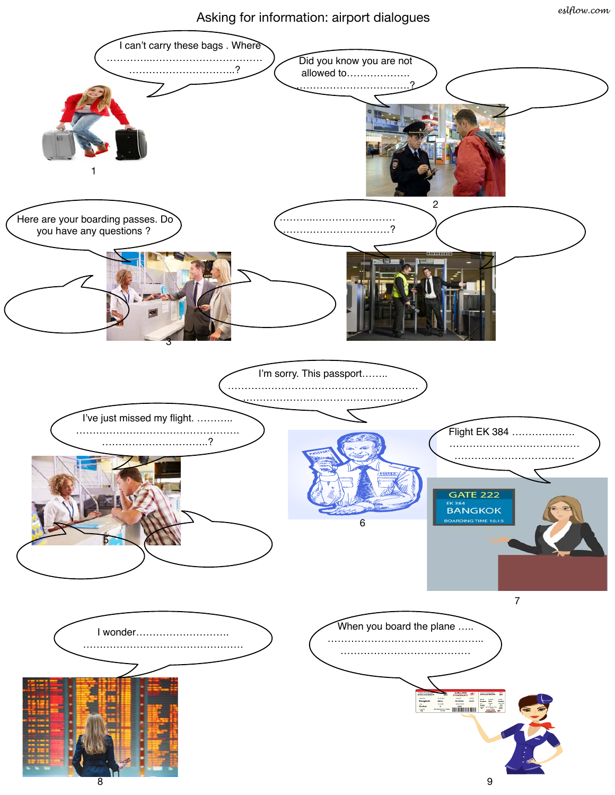## Asking for information: airport dialogues